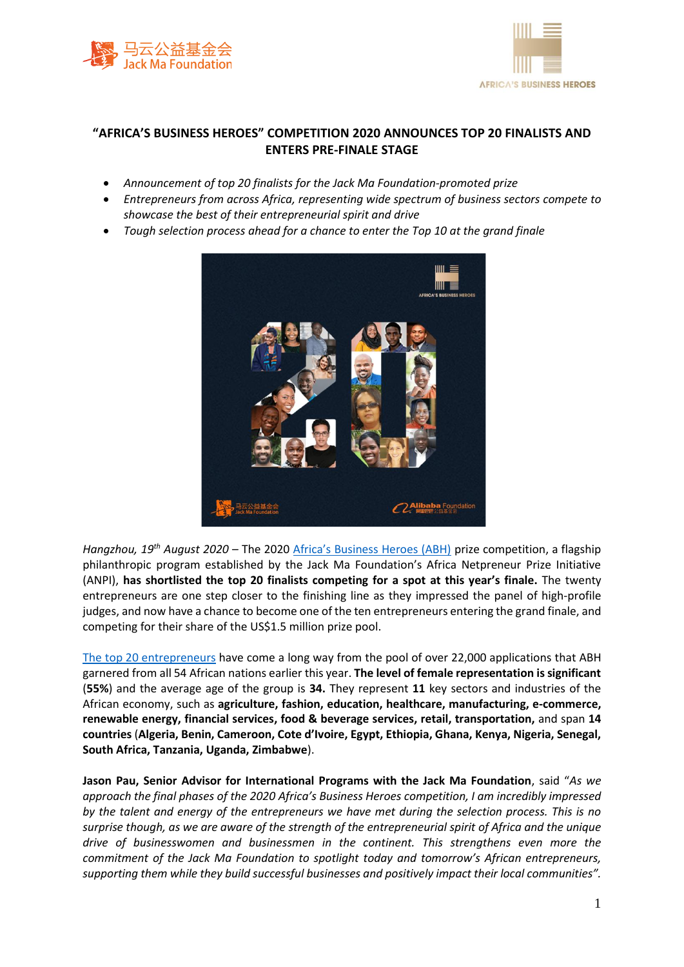



## **"AFRICA'S BUSINESS HEROES" COMPETITION 2020 ANNOUNCES TOP 20 FINALISTS AND ENTERS PRE-FINALE STAGE**

- *Announcement of top 20 finalists for the Jack Ma Foundation-promoted prize*
- *Entrepreneurs from across Africa, representing wide spectrum of business sectors compete to showcase the best of their entrepreneurial spirit and drive*
- *Tough selection process ahead for a chance to enter the Top 10 at the grand finale*



*Hangzhou, 19th August 2020* – The 2020 [Africa's Business Heroes \(ABH\)](https://africabusinessheroes.org/en/) prize competition, a flagship philanthropic program established by the Jack Ma Foundation's Africa Netpreneur Prize Initiative (ANPI), **has shortlisted the top 20 finalists competing for a spot at this year's finale.** The twenty entrepreneurs are one step closer to the finishing line as they impressed the panel of high-profile judges, and now have a chance to become one of the ten entrepreneurs entering the grand finale, and competing for their share of the US\$1.5 million prize pool.

[The top 20 entrepreneurs](https://africabusinessheroes.org/en/finalists/2020/top20) have come a long way from the pool of over 22,000 applications that ABH garnered from all 54 African nations earlier this year. **The level of female representation is significant**  (**55%**) and the average age of the group is **34.** They represent **11** key sectors and industries of the African economy, such as **agriculture, fashion, education, healthcare, manufacturing, e-commerce, renewable energy, financial services, food & beverage services, retail, transportation,** and span **14 countries** (**Algeria, Benin, Cameroon, Cote d'Ivoire, Egypt, Ethiopia, Ghana, Kenya, Nigeria, Senegal, South Africa, Tanzania, Uganda, Zimbabwe**).

**Jason Pau, Senior Advisor for International Programs with the Jack Ma Foundation**, said "*As we approach the final phases of the 2020 Africa's Business Heroes competition, I am incredibly impressed by the talent and energy of the entrepreneurs we have met during the selection process. This is no surprise though, as we are aware of the strength of the entrepreneurial spirit of Africa and the unique drive of businesswomen and businessmen in the continent. This strengthens even more the commitment of the Jack Ma Foundation to spotlight today and tomorrow's African entrepreneurs, supporting them while they build successful businesses and positively impact their local communities".*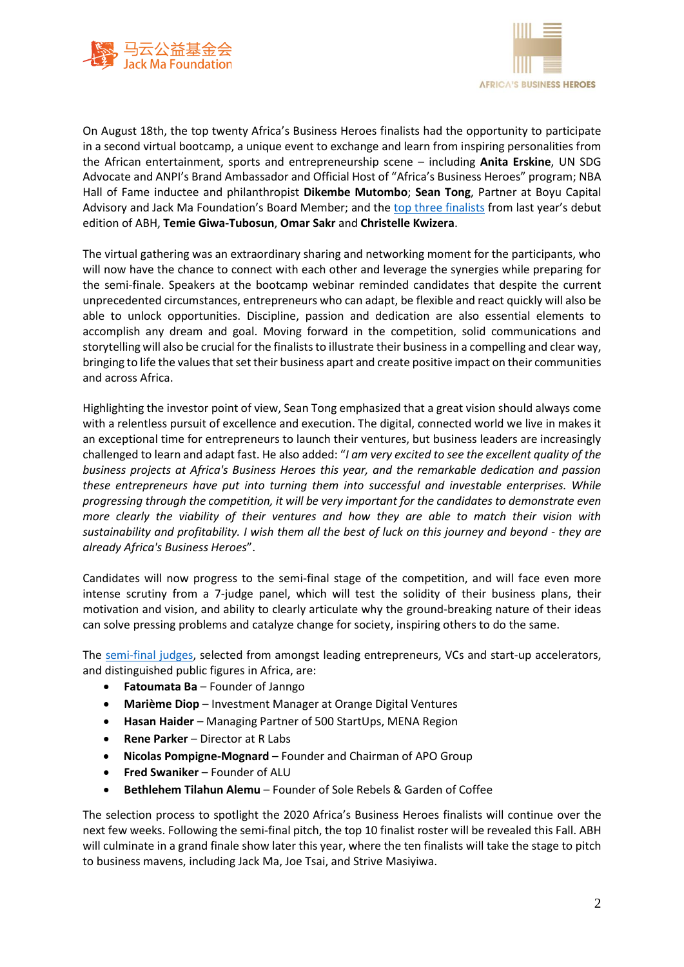



On August 18th, the top twenty Africa's Business Heroes finalists had the opportunity to participate in a second virtual bootcamp, a unique event to exchange and learn from inspiring personalities from the African entertainment, sports and entrepreneurship scene – including **Anita Erskine**, UN SDG Advocate and ANPI's Brand Ambassador and Official Host of "Africa's Business Heroes" program; NBA Hall of Fame inductee and philanthropist **Dikembe Mutombo**; **Sean Tong**, Partner at Boyu Capital Advisory and Jack Ma Foundation's Board Member; and the [top three finalists](https://africabusinessheroes.org/en/finalists/2019/top10) from last year's debut edition of ABH, **Temie Giwa-Tubosun**, **Omar Sakr** and **Christelle Kwizera**.

The virtual gathering was an extraordinary sharing and networking moment for the participants, who will now have the chance to connect with each other and leverage the synergies while preparing for the semi-finale. Speakers at the bootcamp webinar reminded candidates that despite the current unprecedented circumstances, entrepreneurs who can adapt, be flexible and react quickly will also be able to unlock opportunities. Discipline, passion and dedication are also essential elements to accomplish any dream and goal. Moving forward in the competition, solid communications and storytelling will also be crucial for the finalists to illustrate their business in a compelling and clear way, bringing to life the values that set their business apart and create positive impact on their communities and across Africa.

Highlighting the investor point of view, Sean Tong emphasized that a great vision should always come with a relentless pursuit of excellence and execution. The digital, connected world we live in makes it an exceptional time for entrepreneurs to launch their ventures, but business leaders are increasingly challenged to learn and adapt fast. He also added: "*I am very excited to see the excellent quality of the business projects at Africa's Business Heroes this year, and the remarkable dedication and passion these entrepreneurs have put into turning them into successful and investable enterprises. While progressing through the competition, it will be very important for the candidates to demonstrate even more clearly the viability of their ventures and how they are able to match their vision with sustainability and profitability. I wish them all the best of luck on this journey and beyond - they are already Africa's Business Heroes*".

Candidates will now progress to the semi-final stage of the competition, and will face even more intense scrutiny from a 7-judge panel, which will test the solidity of their business plans, their motivation and vision, and ability to clearly articulate why the ground-breaking nature of their ideas can solve pressing problems and catalyze change for society, inspiring others to do the same.

The [semi-final judges,](https://africabusinessheroes.org/en/the-prize/2020/judges) selected from amongst leading entrepreneurs, VCs and start-up accelerators, and distinguished public figures in Africa, are:

- **Fatoumata Ba** Founder of Janngo
- **Marième Diop** Investment Manager at Orange Digital Ventures
- **Hasan Haider** Managing Partner of 500 StartUps, MENA Region
- **Rene Parker** Director at R Labs
- **Nicolas Pompigne-Mognard** Founder and Chairman of APO Group
- **Fred Swaniker** Founder of ALU
- **Bethlehem Tilahun Alemu** Founder of Sole Rebels & Garden of Coffee

The selection process to spotlight the 2020 Africa's Business Heroes finalists will continue over the next few weeks. Following the semi-final pitch, the top 10 finalist roster will be revealed this Fall. ABH will culminate in a grand finale show later this year, where the ten finalists will take the stage to pitch to business mavens, including Jack Ma, Joe Tsai, and Strive Masiyiwa.